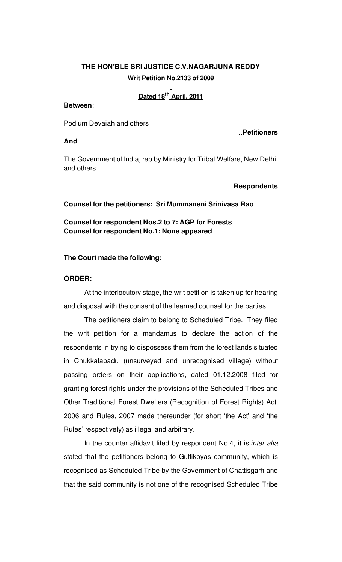# **THE HON'BLE SRI JUSTICE C.V.NAGARJUNA REDDY Writ Petition No.2133 of 2009**

# **Dated 18 th April, 2011**

### **Between**:

Podium Devaiah and others

### **And**

…**Petitioners**

The Government of India, rep.by Ministry for Tribal Welfare, New Delhi and others

#### …**Respondents**

#### **Counsel for the petitioners: Sri Mummaneni Srinivasa Rao**

# **Counsel for respondent Nos.2 to 7: AGP for Forests Counsel for respondent No.1: None appeared**

#### **The Court made the following:**

#### **ORDER:**

At the interlocutory stage, the writ petition is taken up for hearing and disposal with the consent of the learned counsel for the parties.

The petitioners claim to belong to Scheduled Tribe. They filed the writ petition for a mandamus to declare the action of the respondents in trying to dispossess them from the forest lands situated in Chukkalapadu (unsurveyed and unrecognised village) without passing orders on their applications, dated 01.12.2008 filed for granting forest rights under the provisions of the Scheduled Tribes and Other Traditional Forest Dwellers (Recognition of Forest Rights) Act, 2006 and Rules, 2007 made thereunder (for short 'the Act' and 'the Rules' respectively) as illegal and arbitrary.

In the counter affidavit filed by respondent No.4, it is *inter alia* stated that the petitioners belong to Guttikoyas community, which is recognised as Scheduled Tribe by the Government of Chattisgarh and that the said community is not one of the recognised Scheduled Tribe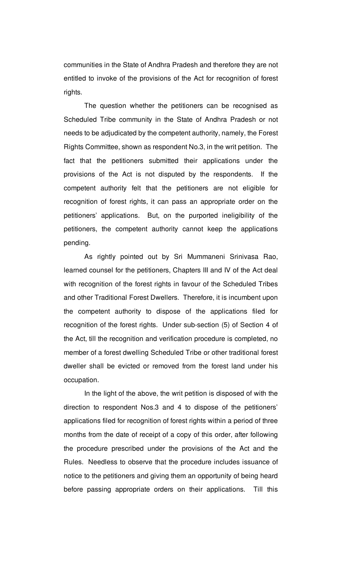communities in the State of Andhra Pradesh and therefore they are not entitled to invoke of the provisions of the Act for recognition of forest rights.

The question whether the petitioners can be recognised as Scheduled Tribe community in the State of Andhra Pradesh or not needs to be adjudicated by the competent authority, namely, the Forest Rights Committee, shown as respondent No.3, in the writ petition. The fact that the petitioners submitted their applications under the provisions of the Act is not disputed by the respondents. If the competent authority felt that the petitioners are not eligible for recognition of forest rights, it can pass an appropriate order on the petitioners' applications. But, on the purported ineligibility of the petitioners, the competent authority cannot keep the applications pending.

As rightly pointed out by Sri Mummaneni Srinivasa Rao, learned counsel for the petitioners, Chapters III and IV of the Act deal with recognition of the forest rights in favour of the Scheduled Tribes and other Traditional Forest Dwellers. Therefore, it is incumbent upon the competent authority to dispose of the applications filed for recognition of the forest rights. Under sub-section (5) of Section 4 of the Act, till the recognition and verification procedure is completed, no member of a forest dwelling Scheduled Tribe or other traditional forest dweller shall be evicted or removed from the forest land under his occupation.

In the light of the above, the writ petition is disposed of with the direction to respondent Nos.3 and 4 to dispose of the petitioners' applications filed for recognition of forest rights within a period of three months from the date of receipt of a copy of this order, after following the procedure prescribed under the provisions of the Act and the Rules. Needless to observe that the procedure includes issuance of notice to the petitioners and giving them an opportunity of being heard before passing appropriate orders on their applications. Till this